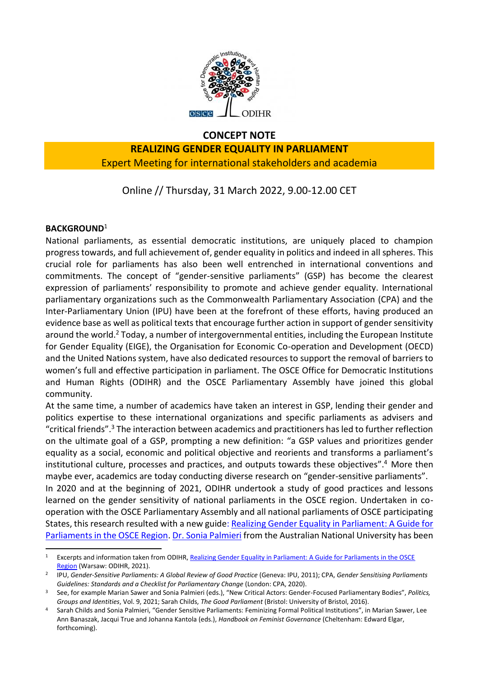

## **CONCEPT NOTE**

## **REALIZING GENDER EQUALITY IN PARLIAMENT** Expert Meeting for international stakeholders and academia

Online // Thursday, 31 March 2022, 9.00-12.00 CET

### **BACKGROUND**<sup>1</sup>

-

National parliaments, as essential democratic institutions, are uniquely placed to champion progress towards, and full achievement of, gender equality in politics and indeed in all spheres. This crucial role for parliaments has also been well entrenched in international conventions and commitments. The concept of "gender-sensitive parliaments" (GSP) has become the clearest expression of parliaments' responsibility to promote and achieve gender equality. International parliamentary organizations such as the Commonwealth Parliamentary Association (CPA) and the Inter-Parliamentary Union (IPU) have been at the forefront of these efforts, having produced an evidence base as well as political texts that encourage further action in support of gender sensitivity around the world.<sup>2</sup> Today, a number of intergovernmental entities, including the European Institute for Gender Equality (EIGE), the Organisation for Economic Co-operation and Development (OECD) and the United Nations system, have also dedicated resources to support the removal of barriers to women's full and effective participation in parliament. The OSCE Office for Democratic Institutions and Human Rights (ODIHR) and the OSCE Parliamentary Assembly have joined this global community.

At the same time, a number of academics have taken an interest in GSP, lending their gender and politics expertise to these international organizations and specific parliaments as advisers and "critical friends".<sup>3</sup> The interaction between academics and practitioners has led to further reflection on the ultimate goal of a GSP, prompting a new definition: "a GSP values and prioritizes gender equality as a social, economic and political objective and reorients and transforms a parliament's institutional culture, processes and practices, and outputs towards these objectives". <sup>4</sup> More then maybe ever, academics are today conducting diverse research on "gender-sensitive parliaments". In 2020 and at the beginning of 2021, ODIHR undertook a study of good practices and lessons learned on the gender sensitivity of national parliaments in the OSCE region. Undertaken in cooperation with the OSCE Parliamentary Assembly and all national parliaments of OSCE participating States, this research resulted with a new guid[e: Realizing Gender Equality in Parliament: A Guide for](https://www.osce.org/odihr/506885) 

[Parliaments in the OSCE Region.](https://www.osce.org/odihr/506885) [Dr. Sonia Palmieri](https://dpa.bellschool.anu.edu.au/experts-publications/experts/sonia-palmieri) from the Australian National University has been

Excerpts and information taken from ODIHR, Realizing Gender Equality in Parliament: A Guide for Parliaments in the OSCE [Region](https://www.osce.org/odihr/506885) (Warsaw: ODIHR, 2021).

<sup>2</sup> IPU, *Gender-Sensitive Parliaments: A Global Review of Good Practice* (Geneva: IPU, 2011); CPA, *Gender Sensitising Parliaments Guidelines: Standards and a Checklist for Parliamentary Change* (London: CPA, 2020).

<sup>3</sup> See, for example Marian Sawer and Sonia Palmieri (eds.), "New Critical Actors: Gender-Focused Parliamentary Bodies", *Politics, Groups and Identities*, Vol. 9, 2021; Sarah Childs, *The Good Parliament* (Bristol: University of Bristol, 2016).

<sup>4</sup> Sarah Childs and Sonia Palmieri, "Gender Sensitive Parliaments: Feminizing Formal Political Institutions", in Marian Sawer, Lee Ann Banaszak, Jacqui True and Johanna Kantola (eds.), *Handbook on Feminist Governance* (Cheltenham: Edward Elgar, forthcoming).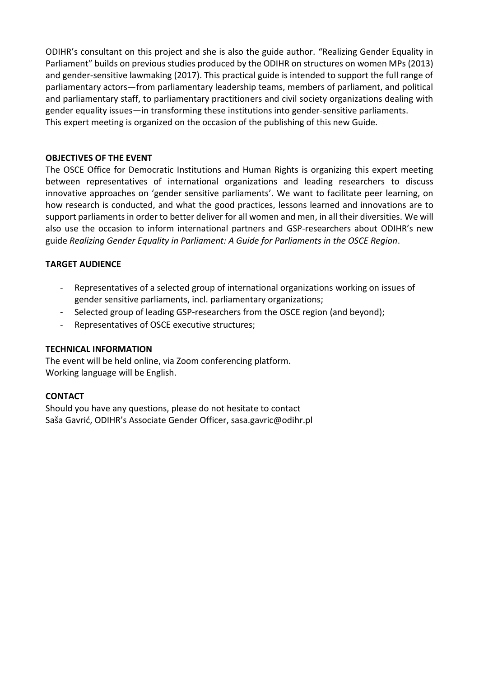ODIHR's consultant on this project and she is also the guide author. "Realizing Gender Equality in Parliament" builds on previous studies produced by the ODIHR on structures on women MPs (2013) and gender-sensitive lawmaking (2017). This practical guide is intended to support the full range of parliamentary actors—from parliamentary leadership teams, members of parliament, and political and parliamentary staff, to parliamentary practitioners and civil society organizations dealing with gender equality issues—in transforming these institutions into gender-sensitive parliaments. This expert meeting is organized on the occasion of the publishing of this new Guide.

#### **OBJECTIVES OF THE EVENT**

The OSCE Office for Democratic Institutions and Human Rights is organizing this expert meeting between representatives of international organizations and leading researchers to discuss innovative approaches on 'gender sensitive parliaments'. We want to facilitate peer learning, on how research is conducted, and what the good practices, lessons learned and innovations are to support parliaments in order to better deliver for all women and men, in all their diversities. We will also use the occasion to inform international partners and GSP-researchers about ODIHR's new guide *Realizing Gender Equality in Parliament: A Guide for Parliaments in the OSCE Region*.

### **TARGET AUDIENCE**

- Representatives of a selected group of international organizations working on issues of gender sensitive parliaments, incl. parliamentary organizations;
- Selected group of leading GSP-researchers from the OSCE region (and beyond);
- Representatives of OSCE executive structures;

#### **TECHNICAL INFORMATION**

The event will be held online, via Zoom conferencing platform. Working language will be English.

#### **CONTACT**

Should you have any questions, please do not hesitate to contact Saša Gavrić, ODIHR's Associate Gender Officer, sasa.gavric@odihr.pl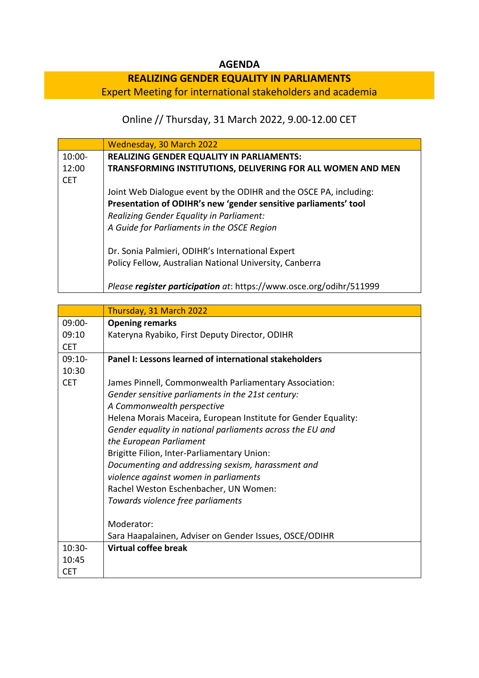## **AGENDA**

# **REALIZING GENDER EQUALITY IN PARLIAMENTS**

Expert Meeting for international stakeholders and academia

# Online // Thursday, 31 March 2022, 9.00-12.00 CET

|            | Wednesday, 30 March 2022                                            |
|------------|---------------------------------------------------------------------|
| $10:00-$   | <b>REALIZING GENDER EQUALITY IN PARLIAMENTS:</b>                    |
| 12:00      | TRANSFORMING INSTITUTIONS, DELIVERING FOR ALL WOMEN AND MEN         |
| <b>CET</b> |                                                                     |
|            | Joint Web Dialogue event by the ODIHR and the OSCE PA, including:   |
|            | Presentation of ODIHR's new 'gender sensitive parliaments' tool     |
|            | Realizing Gender Equality in Parliament:                            |
|            | A Guide for Parliaments in the OSCE Region                          |
|            | Dr. Sonia Palmieri, ODIHR's International Expert                    |
|            | Policy Fellow, Australian National University, Canberra             |
|            | Please register participation at: https://www.osce.org/odihr/511999 |

|            | Thursday, 31 March 2022                                        |
|------------|----------------------------------------------------------------|
| $09:00 -$  | <b>Opening remarks</b>                                         |
| 09:10      | Kateryna Ryabiko, First Deputy Director, ODIHR                 |
| <b>CET</b> |                                                                |
| $09:10-$   | Panel I: Lessons learned of international stakeholders         |
| 10:30      |                                                                |
| <b>CET</b> | James Pinnell, Commonwealth Parliamentary Association:         |
|            | Gender sensitive parliaments in the 21st century:              |
|            | A Commonwealth perspective                                     |
|            | Helena Morais Maceira, European Institute for Gender Equality: |
|            | Gender equality in national parliaments across the EU and      |
|            | the European Parliament                                        |
|            | Brigitte Filion, Inter-Parliamentary Union:                    |
|            | Documenting and addressing sexism, harassment and              |
|            | violence against women in parliaments                          |
|            | Rachel Weston Eschenbacher, UN Women:                          |
|            | Towards violence free parliaments                              |
|            |                                                                |
|            | Moderator:                                                     |
|            | Sara Haapalainen, Adviser on Gender Issues, OSCE/ODIHR         |
| $10:30 -$  | Virtual coffee break                                           |
| 10:45      |                                                                |
| <b>CET</b> |                                                                |